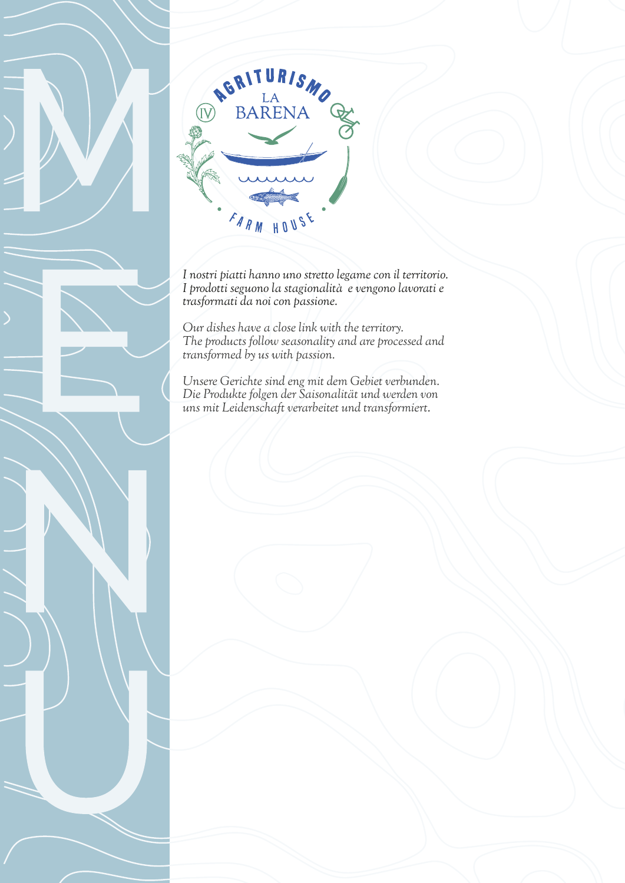

*I nostri piatti hanno uno stretto legame con il territorio. I prodotti seguono la stagionalità e vengono lavorati e trasformati da noi con passione.*

*Our dishes have a close link with the territory. The products follow seasonality and are processed and transformed by us with passion.* 

*Unsere Gerichte sind eng mit dem Gebiet verbunden. Die Produkte folgen der Saisonalität und werden von uns mit Leidenschaft verarbeitet und transformiert.*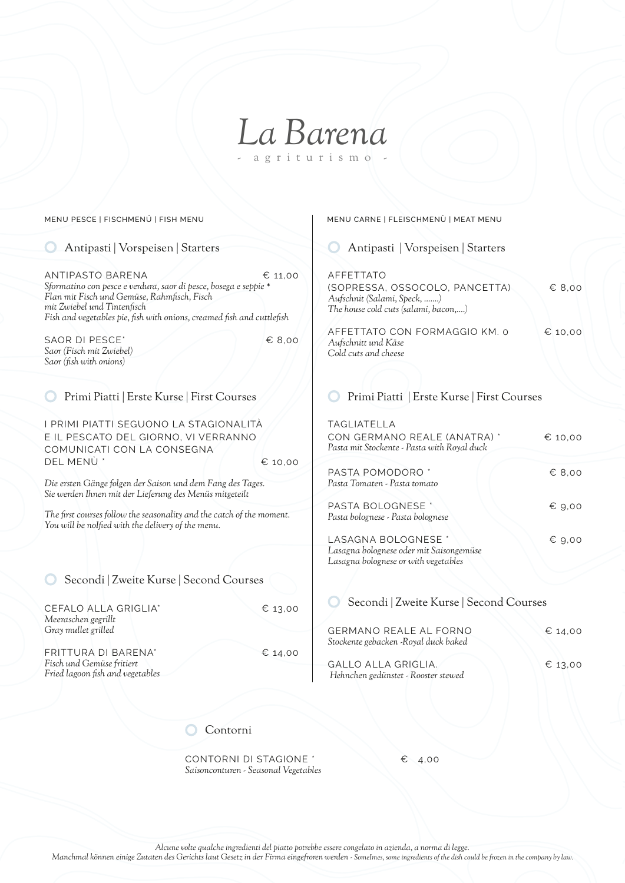## *La Barena* agriturismo

CEFALO ALLA GRIGLIA<sup>\*</sup> € 13,00 *Meeraschen gegrillt Gray mullet grilled* FRITTURA DI BARENA\* € 14,00 *Fisch und Gemüse fritiert Fried lagoon fish and vegetables* GERMANO REALE AL FORNO € 14,00 *Stockente gebacken -Royal duck baked* GALLO ALLA GRIGLIA. € 13,00  *Hehnchen gedünstet - Rooster stewed* ANTIPASTO BARENA € 11.00 *Sformatino con pesce e verdura, saor di pesce, bosega e seppie \* Flan mit Fisch und Gemüse, Rahmfisch, Fisch mit Zwiebel und Tintenfisch Fish and vegetables pie, fish with onions, creamed fish and cuttlefish* SAOR DI PESCE<sup>\*</sup>  $\epsilon$  8.00 *Saor (Fisch mit Zwiebel) Saor (fish with onions)* AFFETTATO (SOPRESSA, OSSOCOLO, PANCETTA) € 8,00 *Aufschnit (Salami, Speck, …….) The house cold cuts (salami, bacon,….)* AFFETTATO CON FORMAGGIO KM. 0 € 10,00 *Aufschnitt und Käse Cold cuts and cheese* I PRIMI PIATTI SEGUONO LA STAGIONALITÀ E IL PESCATO DEL GIORNO, VI VERRANNO COMUNICATI CON LA CONSEGNA DEL MENÙ \* € 10,00 *Die ersten Gänge folgen der Saison und dem Fang des Tages. Sie werden Ihnen mit der Lieferung des Menüs mitgeteilt The first courses follow the seasonality and the catch of the moment. You will be noIfied with the delivery of the menu.* TAGLIATELLA CON GERMANO REALE (ANATRA) \* € 10,00 *Pasta mit Stockente - Pasta with Royal duck* PASTA POMODORO \* 68,00 *Pasta Tomaten - Pasta tomato* PASTA BOLOGNESE \* ↓ ● 6 9,00 *Pasta bolognese - Pasta bolognese* LASAGNA BOLOGNESE \* ↓ ● 6 9,00 *Lasagna bolognese oder mit Saisongemüse Lasagna bolognese or with vegetables* Contorni Secondi | Zweite Kurse | Second Courses Secondi | Zweite Kurse | Second Courses O Antipasti | Vorspeisen | Starters **Antipasti | Vorspeisen | Starters** Antipasti | Vorspeisen | Starters Primi Piatti | Erste Kurse | First Courses Primi Piatti | Erste Kurse | First Courses MENU PESCE | FISCHMENÜ | FISH MENU MENU CARNE | FLEISCHMENÜ | MEAT MENU

> CONTORNI DI STAGIONE \* € 4,00 *Saisonconturen - Seasonal Vegetables*

*Alcune volte qualche ingredienti del piatto potrebbe essere congelato in azienda, a norma di legge.*

*Manchmal können einige Zutaten des Gerichts laut Gesetz in der Firma eingefroren werden - SomeImes, some ingredients of the dish could be frozen in the company by law.*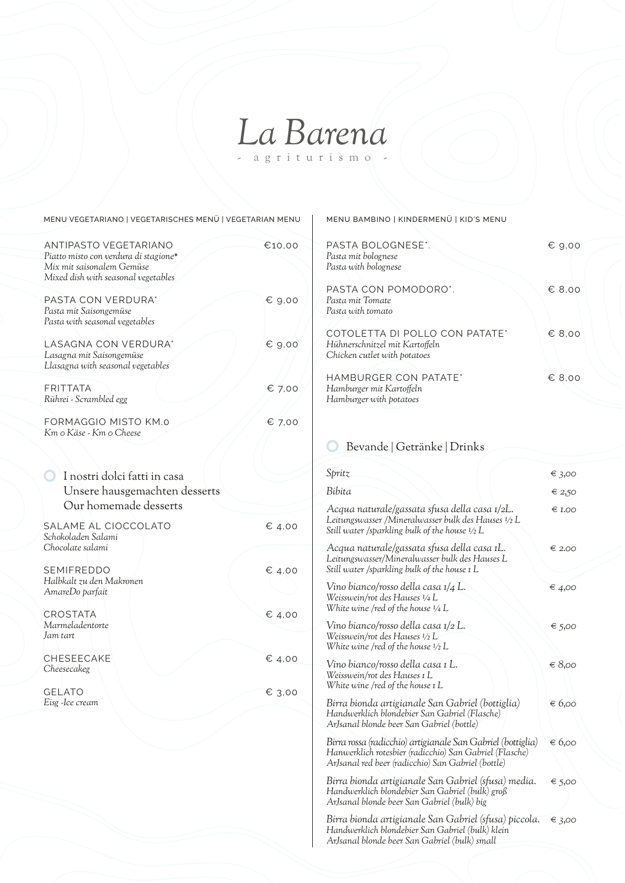# *La Barena* - agriturismo -

MENU VEGETARIANO | VEGETARISCHES MENÜ | VEGETARIAN MENU | MENU BAMBINO | KINDERMENÜ | KID'S MENU

| ANTIPASTO VEGETARIANO<br>Piatto misto con verdura di stagione*<br>Mix mit saisonalem Gemüse<br>Mixed dish with seasonal vegetables | €10,00          | PASTA BOLOGNE<br>Pasta mit bolognese<br>Pasta with bolognese                                          |
|------------------------------------------------------------------------------------------------------------------------------------|-----------------|-------------------------------------------------------------------------------------------------------|
| PASTA CON VERDURA*<br>Pasta mit Saisongemüse<br>Pasta with seasonal vegetables                                                     | € 9,00          | PASTA CON POM<br>Pasta mit Tomate<br>Pasta with tomato                                                |
| LASAGNA CON VERDURA*<br>Lasagna mit Saisongemüse<br>Llasagna with seasonal vegetables                                              | € 9,00          | COTOLETTA DI P<br>Hühnerschnitzel mit K<br>Chicken cutlet with po                                     |
| <b>FRITTATA</b><br>Rührei - Scrambled egg                                                                                          | € 7.00          | <b>HAMBURGER CO</b><br>Hamburger mit Kartof<br>Hamburger with potate                                  |
| FORMAGGIO MISTO KM.0<br>Km o Käse - Km o Cheese                                                                                    | $\epsilon$ 7,00 |                                                                                                       |
| I nostri dolci fatti in casa                                                                                                       |                 | Bevande   Ge<br>Spritz                                                                                |
| Unsere hausgemachten desserts                                                                                                      |                 | Bibita                                                                                                |
| Our homemade desserts<br>SALAME AL CIOCCOLATO                                                                                      | € 4,00          | Acqua naturale/gas.<br>Leitungswasser /Miner<br>Still water /sparkling b                              |
| Schokoladen Salami<br>Chocolate salami<br><b>SEMIFREDDO</b>                                                                        |                 | Acqua naturale/gas.<br>Leitungswasser/Minera<br>Still water /sparkling b                              |
| Halbkalt zu den Makronen<br>AmareDo parfait                                                                                        | € 4,00          | Vino bianco/rosso de<br>Weisswein/rot des Hau                                                         |
| <b>CROSTATA</b><br>Marmeladentorte<br>Jam tart                                                                                     | $\epsilon$ 4,00 | White wine /red of the<br>Vino bianco/rosso de<br>Weisswein/rot des Hau                               |
| CHESEECAKE<br>Cheesecakeg                                                                                                          | € 4,00          | White wine /red of the<br>Vino bianco/rosso de<br>Weisswein/rot des Hau                               |
| <b>GELATO</b><br>Eisg - Ice cream                                                                                                  | € 3,00          | White wine /red of the<br>Birra bionda artigias<br>Handwerklich blondeb                               |
|                                                                                                                                    |                 | ArJsanal blonde beer S<br>Birra rossa (radicchio)<br>Hanwerklich rotesbier<br>ArJsanal red beer (radi |
|                                                                                                                                    |                 | $D_{imod}$ bianda antigian                                                                            |

| PASTA BOLOGNESE*.<br>Pasta mit bolognese<br>Pasta with bolognese                                 | $\epsilon$ 9,00 |
|--------------------------------------------------------------------------------------------------|-----------------|
| PASTA CON POMODORO".<br>Pasta mit Tomate<br>Pasta with tomato                                    | € 8,00          |
| COTOLETTA DI POLLO CON PATATE*<br>Hühnerschnitzel mit Kartoffeln<br>Chicken cutlet with potatoes | € 8.00          |
| HAMBURGER CON PATATE*<br>Hamburger mit Kartoffeln<br>Hamburger with potatoes                     | € 8.00          |

#### etränke | Drinks

| Spritz                                                                                                                                                                       | € 3,00 |
|------------------------------------------------------------------------------------------------------------------------------------------------------------------------------|--------|
| Bibita                                                                                                                                                                       | ∈ 2,50 |
| Acqua naturale/gassata sfusa della casa 1/2L.<br>Leitungswasser /Mineralwasser bulk des Hauses 1/2 L<br>Still water /sparkling bulk of the house $1/2$ L                     | € I.OO |
| Acqua naturale/gassata sfusa della casa IL.<br>Leitungswasser/Mineralwasser bulk des Hauses L<br>Still water /sparkling bulk of the house 1 L                                | € 2.00 |
| Vino bianco/rosso della casa 1/4 L.<br>Weisswein/rot des Hauses 1/4 L<br>White wine /red of the house 1/4 L                                                                  | € 4,00 |
| Vino bianco/rosso della casa 1/2 L.<br>Weisswein/rot des Hauses ½ L<br>White wine /red of the house $\frac{1}{2}$ L                                                          | € 5,00 |
| Vino bianco/rosso della casa 1L.<br>Weisswein/rot des Hauses 1 L<br>White wine /red of the house 1 L                                                                         | € 8,00 |
| Birra bionda artigianale San Gabriel (bottiglia)<br>Handwerklich blondebier San Gabriel (Flasche)<br>ArJsanal blonde beer San Gabriel (bottle)                               | € 6,00 |
| Birra rossa (radicchio) artigianale San Gabriel (bottiglia)<br>Hanwerklich rotesbier (radicchio) San Gabriel (Flasche)<br>ArJsanal red beer (radicchio) San Gabriel (bottle) | € 6,00 |
| Birra bionda artigianale San Gabriel (sfusa) media.<br>Handwerklich blondebier San Gabriel (bulk) groß<br>ArJsanal blonde beer San Gabriel (bulk) big                        | € 5,00 |
| Birra bionda artigianale San Gabriel (sfusa) piccola.<br>Handwerklich blondebier San Gabriel (bulk) klein                                                                    | € 3,00 |

*ArJsanal blonde beer San Gabriel (bulk) small*